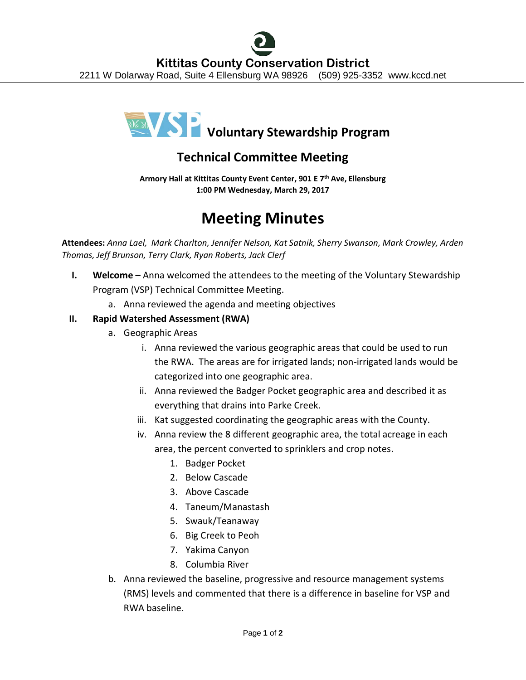

# **Technical Committee Meeting**

**Armory Hall at Kittitas County Event Center, 901 E 7th Ave, Ellensburg 1:00 PM Wednesday, March 29, 2017**

# **Meeting Minutes**

**Attendees:** *Anna Lael, Mark Charlton, Jennifer Nelson, Kat Satnik, Sherry Swanson, Mark Crowley, Arden Thomas, Jeff Brunson, Terry Clark, Ryan Roberts, Jack Clerf*

- **I. Welcome –** Anna welcomed the attendees to the meeting of the Voluntary Stewardship Program (VSP) Technical Committee Meeting.
	- a. Anna reviewed the agenda and meeting objectives

## **II. Rapid Watershed Assessment (RWA)**

- a. Geographic Areas
	- i. Anna reviewed the various geographic areas that could be used to run the RWA. The areas are for irrigated lands; non-irrigated lands would be categorized into one geographic area.
	- ii. Anna reviewed the Badger Pocket geographic area and described it as everything that drains into Parke Creek.
	- iii. Kat suggested coordinating the geographic areas with the County.
	- iv. Anna review the 8 different geographic area, the total acreage in each area, the percent converted to sprinklers and crop notes.
		- 1. Badger Pocket
		- 2. Below Cascade
		- 3. Above Cascade
		- 4. Taneum/Manastash
		- 5. Swauk/Teanaway
		- 6. Big Creek to Peoh
		- 7. Yakima Canyon
		- 8. Columbia River
- b. Anna reviewed the baseline, progressive and resource management systems (RMS) levels and commented that there is a difference in baseline for VSP and RWA baseline.